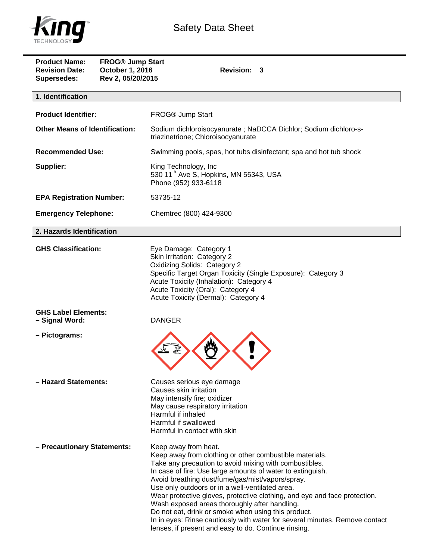

| <b>Product Name:</b><br><b>Revision Date:</b><br><b>Supersedes:</b> | <b>FROG® Jump Start</b><br>October 1, 2016<br>Rev 2, 05/20/2015 | Revision: 3                                                                                                                                                                                                                                                                                                                                                                                                                                                                                                                                                                                                                                |  |  |
|---------------------------------------------------------------------|-----------------------------------------------------------------|--------------------------------------------------------------------------------------------------------------------------------------------------------------------------------------------------------------------------------------------------------------------------------------------------------------------------------------------------------------------------------------------------------------------------------------------------------------------------------------------------------------------------------------------------------------------------------------------------------------------------------------------|--|--|
| 1. Identification                                                   |                                                                 |                                                                                                                                                                                                                                                                                                                                                                                                                                                                                                                                                                                                                                            |  |  |
| <b>Product Identifier:</b>                                          |                                                                 | FROG® Jump Start                                                                                                                                                                                                                                                                                                                                                                                                                                                                                                                                                                                                                           |  |  |
| <b>Other Means of Identification:</b>                               |                                                                 | Sodium dichloroisocyanurate; NaDCCA Dichlor; Sodium dichloro-s-<br>triazinetrione; Chloroisocyanurate                                                                                                                                                                                                                                                                                                                                                                                                                                                                                                                                      |  |  |
| <b>Recommended Use:</b>                                             |                                                                 | Swimming pools, spas, hot tubs disinfectant; spa and hot tub shock                                                                                                                                                                                                                                                                                                                                                                                                                                                                                                                                                                         |  |  |
| Supplier:                                                           |                                                                 | King Technology, Inc<br>530 11 <sup>th</sup> Ave S, Hopkins, MN 55343, USA<br>Phone (952) 933-6118                                                                                                                                                                                                                                                                                                                                                                                                                                                                                                                                         |  |  |
| <b>EPA Registration Number:</b>                                     |                                                                 | 53735-12                                                                                                                                                                                                                                                                                                                                                                                                                                                                                                                                                                                                                                   |  |  |
| <b>Emergency Telephone:</b>                                         |                                                                 | Chemtrec (800) 424-9300                                                                                                                                                                                                                                                                                                                                                                                                                                                                                                                                                                                                                    |  |  |
| 2. Hazards Identification                                           |                                                                 |                                                                                                                                                                                                                                                                                                                                                                                                                                                                                                                                                                                                                                            |  |  |
| <b>GHS Classification:</b>                                          |                                                                 | Eye Damage: Category 1<br>Skin Irritation: Category 2<br><b>Oxidizing Solids: Category 2</b><br>Specific Target Organ Toxicity (Single Exposure): Category 3<br>Acute Toxicity (Inhalation): Category 4<br>Acute Toxicity (Oral): Category 4<br>Acute Toxicity (Dermal): Category 4                                                                                                                                                                                                                                                                                                                                                        |  |  |
| <b>GHS Label Elements:</b><br>- Signal Word:                        |                                                                 | <b>DANGER</b>                                                                                                                                                                                                                                                                                                                                                                                                                                                                                                                                                                                                                              |  |  |
| - Pictograms:                                                       |                                                                 |                                                                                                                                                                                                                                                                                                                                                                                                                                                                                                                                                                                                                                            |  |  |
| - Hazard Statements:                                                |                                                                 | Causes serious eye damage<br>Causes skin irritation<br>May intensify fire; oxidizer<br>May cause respiratory irritation<br>Harmful if inhaled<br>Harmful if swallowed<br>Harmful in contact with skin                                                                                                                                                                                                                                                                                                                                                                                                                                      |  |  |
| - Precautionary Statements:                                         |                                                                 | Keep away from heat.<br>Keep away from clothing or other combustible materials.<br>Take any precaution to avoid mixing with combustibles.<br>In case of fire: Use large amounts of water to extinguish.<br>Avoid breathing dust/fume/gas/mist/vapors/spray.<br>Use only outdoors or in a well-ventilated area.<br>Wear protective gloves, protective clothing, and eye and face protection.<br>Wash exposed areas thoroughly after handling.<br>Do not eat, drink or smoke when using this product.<br>In in eyes: Rinse cautiously with water for several minutes. Remove contact<br>lenses, if present and easy to do. Continue rinsing. |  |  |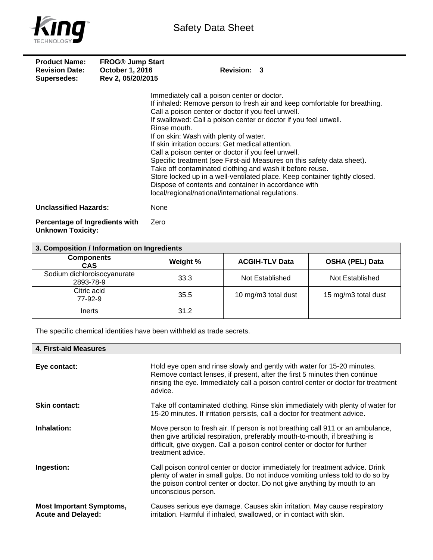

| <b>Product Name:</b><br><b>Revision Date:</b><br><b>Supersedes:</b> | <b>FROG® Jump Start</b><br><b>October 1, 2016</b><br>Rev 2, 05/20/2015 | Revision: 3                                                                                                                                                                                                                                                                                                                                                                                                                                                                                                                                                                                                                                                                                                                                                |
|---------------------------------------------------------------------|------------------------------------------------------------------------|------------------------------------------------------------------------------------------------------------------------------------------------------------------------------------------------------------------------------------------------------------------------------------------------------------------------------------------------------------------------------------------------------------------------------------------------------------------------------------------------------------------------------------------------------------------------------------------------------------------------------------------------------------------------------------------------------------------------------------------------------------|
|                                                                     |                                                                        | Immediately call a poison center or doctor.<br>If inhaled: Remove person to fresh air and keep comfortable for breathing.<br>Call a poison center or doctor if you feel unwell.<br>If swallowed: Call a poison center or doctor if you feel unwell.<br>Rinse mouth.<br>If on skin: Wash with plenty of water.<br>If skin irritation occurs: Get medical attention.<br>Call a poison center or doctor if you feel unwell.<br>Specific treatment (see First-aid Measures on this safety data sheet).<br>Take off contaminated clothing and wash it before reuse.<br>Store locked up in a well-ventilated place. Keep container tightly closed.<br>Dispose of contents and container in accordance with<br>local/regional/national/international regulations. |
| <b>Unclassified Hazards:</b>                                        | None                                                                   |                                                                                                                                                                                                                                                                                                                                                                                                                                                                                                                                                                                                                                                                                                                                                            |
| Percentage of Ingredients with                                      | Zero                                                                   |                                                                                                                                                                                                                                                                                                                                                                                                                                                                                                                                                                                                                                                                                                                                                            |

**Unknown Toxicity:** 

| 3. Composition / Information on Ingredients |          |                       |                        |
|---------------------------------------------|----------|-----------------------|------------------------|
| <b>Components</b><br><b>CAS</b>             | Weight % | <b>ACGIH-TLV Data</b> | <b>OSHA (PEL) Data</b> |
| Sodium dichloroisocyanurate<br>2893-78-9    | 33.3     | Not Established       | Not Established        |
| Citric acid<br>77-92-9                      | 35.5     | 10 mg/m3 total dust   | 15 mg/m3 total dust    |
| Inerts                                      | 31.2     |                       |                        |

The specific chemical identities have been withheld as trade secrets.

| 4. First-aid Measures                                        |                                                                                                                                                                                                                                                                   |
|--------------------------------------------------------------|-------------------------------------------------------------------------------------------------------------------------------------------------------------------------------------------------------------------------------------------------------------------|
| Eye contact:                                                 | Hold eye open and rinse slowly and gently with water for 15-20 minutes.<br>Remove contact lenses, if present, after the first 5 minutes then continue<br>rinsing the eye. Immediately call a poison control center or doctor for treatment<br>advice.             |
| <b>Skin contact:</b>                                         | Take off contaminated clothing. Rinse skin immediately with plenty of water for<br>15-20 minutes. If irritation persists, call a doctor for treatment advice.                                                                                                     |
| Inhalation:                                                  | Move person to fresh air. If person is not breathing call 911 or an ambulance,<br>then give artificial respiration, preferably mouth-to-mouth, if breathing is<br>difficult, give oxygen. Call a poison control center or doctor for further<br>treatment advice. |
| Ingestion:                                                   | Call poison control center or doctor immediately for treatment advice. Drink<br>plenty of water in small gulps. Do not induce vomiting unless told to do so by<br>the poison control center or doctor. Do not give anything by mouth to an<br>unconscious person. |
| <b>Most Important Symptoms,</b><br><b>Acute and Delayed:</b> | Causes serious eye damage. Causes skin irritation. May cause respiratory<br>irritation. Harmful if inhaled, swallowed, or in contact with skin.                                                                                                                   |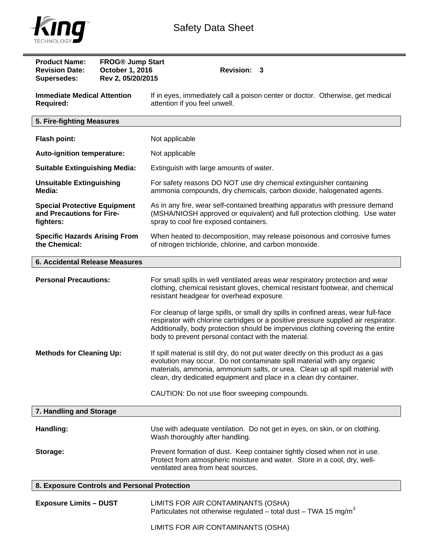



| <b>Product Name:</b><br><b>Revision Date:</b><br><b>Supersedes:</b>           | <b>FROG® Jump Start</b><br>October 1, 2016<br>Rev 2, 05/20/2015 | <b>Revision: 3</b>                                                                                                                                                                                                                                                                                                   |  |  |
|-------------------------------------------------------------------------------|-----------------------------------------------------------------|----------------------------------------------------------------------------------------------------------------------------------------------------------------------------------------------------------------------------------------------------------------------------------------------------------------------|--|--|
| <b>Immediate Medical Attention</b><br><b>Required:</b>                        |                                                                 | If in eyes, immediately call a poison center or doctor. Otherwise, get medical<br>attention if you feel unwell.                                                                                                                                                                                                      |  |  |
| 5. Fire-fighting Measures                                                     |                                                                 |                                                                                                                                                                                                                                                                                                                      |  |  |
| <b>Flash point:</b>                                                           |                                                                 | Not applicable                                                                                                                                                                                                                                                                                                       |  |  |
| Auto-ignition temperature:                                                    |                                                                 | Not applicable                                                                                                                                                                                                                                                                                                       |  |  |
| <b>Suitable Extinguishing Media:</b>                                          |                                                                 | Extinguish with large amounts of water.                                                                                                                                                                                                                                                                              |  |  |
| <b>Unsuitable Extinguishing</b><br>Media:                                     |                                                                 | For safety reasons DO NOT use dry chemical extinguisher containing<br>ammonia compounds, dry chemicals, carbon dioxide, halogenated agents.                                                                                                                                                                          |  |  |
| <b>Special Protective Equipment</b><br>and Precautions for Fire-<br>fighters: |                                                                 | As in any fire, wear self-contained breathing apparatus with pressure demand<br>(MSHA/NIOSH approved or equivalent) and full protection clothing. Use water<br>spray to cool fire exposed containers.                                                                                                                |  |  |
| <b>Specific Hazards Arising From</b><br>the Chemical:                         |                                                                 | When heated to decomposition, may release poisonous and corrosive fumes<br>of nitrogen trichloride, chlorine, and carbon monoxide.                                                                                                                                                                                   |  |  |
| <b>6. Accidental Release Measures</b>                                         |                                                                 |                                                                                                                                                                                                                                                                                                                      |  |  |
| <b>Personal Precautions:</b>                                                  |                                                                 | For small spills in well ventilated areas wear respiratory protection and wear<br>clothing, chemical resistant gloves, chemical resistant footwear, and chemical<br>resistant headgear for overhead exposure.                                                                                                        |  |  |
|                                                                               |                                                                 | For cleanup of large spills, or small dry spills in confined areas, wear full-face<br>respirator with chlorine cartridges or a positive pressure supplied air respirator.<br>Additionally, body protection should be impervious clothing covering the entire<br>body to prevent personal contact with the material.  |  |  |
| <b>Methods for Cleaning Up:</b>                                               |                                                                 | If spill material is still dry, do not put water directly on this product as a gas<br>evolution may occur. Do not contaminate spill material with any organic<br>materials, ammonia, ammonium salts, or urea. Clean up all spill material with<br>clean, dry dedicated equipment and place in a clean dry container. |  |  |
|                                                                               |                                                                 | CAUTION: Do not use floor sweeping compounds.                                                                                                                                                                                                                                                                        |  |  |
| 7. Handling and Storage                                                       |                                                                 |                                                                                                                                                                                                                                                                                                                      |  |  |
| Handling:                                                                     |                                                                 | Use with adequate ventilation. Do not get in eyes, on skin, or on clothing.<br>Wash thoroughly after handling.                                                                                                                                                                                                       |  |  |
| Storage:                                                                      |                                                                 | Prevent formation of dust. Keep container tightly closed when not in use.<br>Protect from atmospheric moisture and water. Store in a cool, dry, well-<br>ventilated area from heat sources.                                                                                                                          |  |  |
| 8. Exposure Controls and Personal Protection                                  |                                                                 |                                                                                                                                                                                                                                                                                                                      |  |  |
| <b>Exposure Limits - DUST</b>                                                 |                                                                 | LIMITS FOR AIR CONTAMINANTS (OSHA)<br>Particulates not otherwise regulated – total dust – TWA 15 mg/m <sup>3</sup>                                                                                                                                                                                                   |  |  |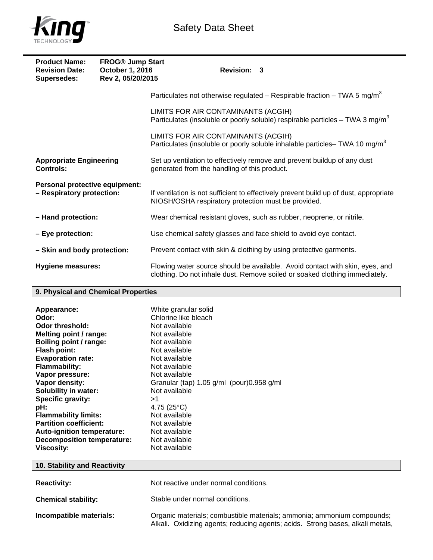

# Safety Data Sheet

| <b>Product Name:</b><br><b>Revision Date:</b><br>Supersedes: | <b>FROG® Jump Start</b><br>October 1, 2016<br>Rev 2, 05/20/2015 | Revision: 3                                                                                                                                                 |
|--------------------------------------------------------------|-----------------------------------------------------------------|-------------------------------------------------------------------------------------------------------------------------------------------------------------|
|                                                              |                                                                 | Particulates not otherwise regulated – Respirable fraction – TWA 5 mg/m <sup>3</sup>                                                                        |
|                                                              |                                                                 | LIMITS FOR AIR CONTAMINANTS (ACGIH)<br>Particulates (insoluble or poorly soluble) respirable particles $-$ TWA 3 mg/m <sup>3</sup>                          |
|                                                              |                                                                 | LIMITS FOR AIR CONTAMINANTS (ACGIH)<br>Particulates (insoluble or poorly soluble inhalable particles-TWA 10 mg/m <sup>3</sup>                               |
| <b>Appropriate Engineering</b><br><b>Controls:</b>           |                                                                 | Set up ventilation to effectively remove and prevent buildup of any dust<br>generated from the handling of this product.                                    |
| Personal protective equipment:<br>- Respiratory protection:  |                                                                 | If ventilation is not sufficient to effectively prevent build up of dust, appropriate<br>NIOSH/OSHA respiratory protection must be provided.                |
| - Hand protection:                                           |                                                                 | Wear chemical resistant gloves, such as rubber, neoprene, or nitrile.                                                                                       |
| - Eye protection:                                            |                                                                 | Use chemical safety glasses and face shield to avoid eye contact.                                                                                           |
| - Skin and body protection:                                  |                                                                 | Prevent contact with skin & clothing by using protective garments.                                                                                          |
| <b>Hygiene measures:</b>                                     |                                                                 | Flowing water source should be available. Avoid contact with skin, eyes, and<br>clothing. Do not inhale dust. Remove soiled or soaked clothing immediately. |

### **9. Physical and Chemical Properties**

| Appearance:                       | White granular solid                           |
|-----------------------------------|------------------------------------------------|
| Odor:                             | Chlorine like bleach                           |
| Odor threshold:                   | Not available                                  |
| Melting point / range:            | Not available                                  |
| Boiling point / range:            | Not available                                  |
| Flash point:                      | Not available                                  |
| <b>Evaporation rate:</b>          | Not available                                  |
| <b>Flammability:</b>              | Not available                                  |
| Vapor pressure:                   | Not available                                  |
| Vapor density:                    | Granular (tap) $1.05$ g/ml (pour) $0.958$ g/ml |
| <b>Solubility in water:</b>       | Not available                                  |
| Specific gravity:                 | >1                                             |
| pH:                               | 4.75 $(25^{\circ}C)$                           |
| <b>Flammability limits:</b>       | Not available                                  |
| <b>Partition coefficient:</b>     | Not available                                  |
| <b>Auto-ignition temperature:</b> | Not available                                  |
| <b>Decomposition temperature:</b> | Not available                                  |
| <b>Viscosity:</b>                 | Not available                                  |

# **10. Stability and Reactivity Reactivity: Not reactive under normal conditions.**

**Chemical stability:** Stable under normal conditions. **Incompatible materials: Organic materials**; combustible materials; ammonia; ammonium compounds; Alkali. Oxidizing agents; reducing agents; acids. Strong bases, alkali metals,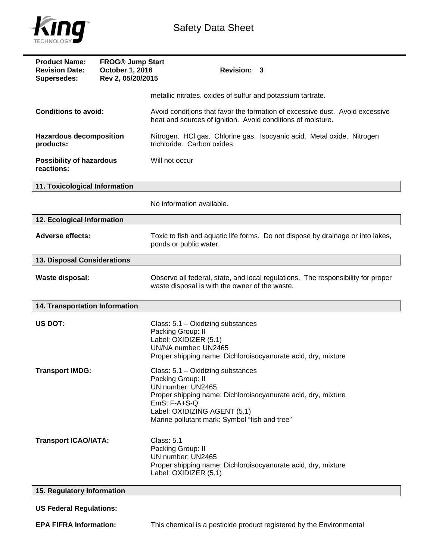

| <b>Product Name:</b><br><b>Revision Date:</b><br>Supersedes: | <b>FROG® Jump Start</b><br>October 1, 2016<br>Rev 2, 05/20/2015 | <b>Revision: 3</b>                                                                                                                                                                                                                              |  |  |
|--------------------------------------------------------------|-----------------------------------------------------------------|-------------------------------------------------------------------------------------------------------------------------------------------------------------------------------------------------------------------------------------------------|--|--|
|                                                              |                                                                 | metallic nitrates, oxides of sulfur and potassium tartrate.                                                                                                                                                                                     |  |  |
| <b>Conditions to avoid:</b>                                  |                                                                 | Avoid conditions that favor the formation of excessive dust. Avoid excessive<br>heat and sources of ignition. Avoid conditions of moisture.                                                                                                     |  |  |
| <b>Hazardous decomposition</b><br>products:                  |                                                                 | Nitrogen. HCI gas. Chlorine gas. Isocyanic acid. Metal oxide. Nitrogen<br>trichloride. Carbon oxides.                                                                                                                                           |  |  |
| <b>Possibility of hazardous</b><br>reactions:                |                                                                 | Will not occur                                                                                                                                                                                                                                  |  |  |
| 11. Toxicological Information                                |                                                                 |                                                                                                                                                                                                                                                 |  |  |
|                                                              |                                                                 | No information available.                                                                                                                                                                                                                       |  |  |
| 12. Ecological Information                                   |                                                                 |                                                                                                                                                                                                                                                 |  |  |
| <b>Adverse effects:</b>                                      |                                                                 | Toxic to fish and aquatic life forms. Do not dispose by drainage or into lakes,<br>ponds or public water.                                                                                                                                       |  |  |
| 13. Disposal Considerations                                  |                                                                 |                                                                                                                                                                                                                                                 |  |  |
| <b>Waste disposal:</b>                                       |                                                                 | Observe all federal, state, and local regulations. The responsibility for proper<br>waste disposal is with the owner of the waste.                                                                                                              |  |  |
| 14. Transportation Information                               |                                                                 |                                                                                                                                                                                                                                                 |  |  |
| US DOT:                                                      |                                                                 | Class: 5.1 - Oxidizing substances<br>Packing Group: II<br>Label: OXIDIZER (5.1)<br>UN/NA number: UN2465<br>Proper shipping name: Dichloroisocyanurate acid, dry, mixture                                                                        |  |  |
| <b>Transport IMDG:</b>                                       |                                                                 | Class: 5.1 - Oxidizing substances<br>Packing Group: II<br>UN number: UN2465<br>Proper shipping name: Dichloroisocyanurate acid, dry, mixture<br>$EmS: F-A+S-Q$<br>Label: OXIDIZING AGENT (5.1)<br>Marine pollutant mark: Symbol "fish and tree" |  |  |
| <b>Transport ICAO/IATA:</b>                                  |                                                                 | Class: 5.1<br>Packing Group: II<br>UN number: UN2465<br>Proper shipping name: Dichloroisocyanurate acid, dry, mixture<br>Label: OXIDIZER (5.1)                                                                                                  |  |  |
| 15. Regulatory Information                                   |                                                                 |                                                                                                                                                                                                                                                 |  |  |
| <b>US Federal Regulations:</b>                               |                                                                 |                                                                                                                                                                                                                                                 |  |  |
| <b>EPA FIFRA Information:</b>                                |                                                                 | This chemical is a pesticide product registered by the Environmental                                                                                                                                                                            |  |  |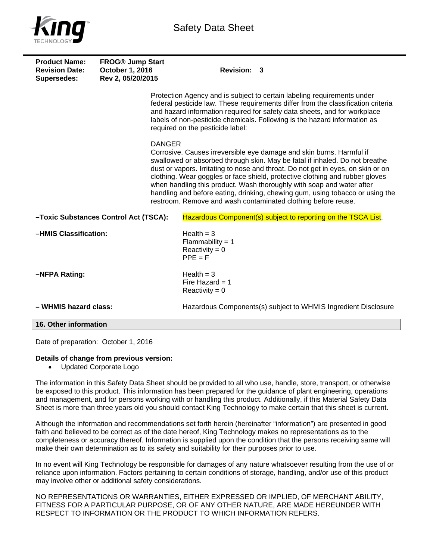

| <b>Product Name:</b><br><b>Revision Date:</b><br><b>Supersedes:</b> | <b>FROG® Jump Start</b><br>October 1, 2016<br>Rev 2, 05/20/2015 | Revision: 3                                                                                                                                                                                                                                                                                                                                                                                                                                                                                                                                        |
|---------------------------------------------------------------------|-----------------------------------------------------------------|----------------------------------------------------------------------------------------------------------------------------------------------------------------------------------------------------------------------------------------------------------------------------------------------------------------------------------------------------------------------------------------------------------------------------------------------------------------------------------------------------------------------------------------------------|
|                                                                     |                                                                 | Protection Agency and is subject to certain labeling requirements under<br>federal pesticide law. These requirements differ from the classification criteria<br>and hazard information required for safety data sheets, and for workplace<br>labels of non-pesticide chemicals. Following is the hazard information as<br>required on the pesticide label:                                                                                                                                                                                         |
|                                                                     | <b>DANGER</b>                                                   | Corrosive. Causes irreversible eye damage and skin burns. Harmful if<br>swallowed or absorbed through skin. May be fatal if inhaled. Do not breathe<br>dust or vapors. Irritating to nose and throat. Do not get in eyes, on skin or on<br>clothing. Wear goggles or face shield, protective clothing and rubber gloves<br>when handling this product. Wash thoroughly with soap and water after<br>handling and before eating, drinking, chewing gum, using tobacco or using the<br>restroom. Remove and wash contaminated clothing before reuse. |
|                                                                     | -Toxic Substances Control Act (TSCA):                           | Hazardous Component(s) subject to reporting on the TSCA List.                                                                                                                                                                                                                                                                                                                                                                                                                                                                                      |
| -HMIS Classification:                                               |                                                                 | Health $=$ 3<br>Flammability = $1$<br>Reactivity = $0$<br>$PPE = F$                                                                                                                                                                                                                                                                                                                                                                                                                                                                                |
| -NFPA Rating:                                                       |                                                                 | Health $=$ 3<br>Fire Hazard = $1$<br>Reactivity = $0$                                                                                                                                                                                                                                                                                                                                                                                                                                                                                              |
| - WHMIS hazard class:                                               |                                                                 | Hazardous Components(s) subject to WHMIS Ingredient Disclosure                                                                                                                                                                                                                                                                                                                                                                                                                                                                                     |
| 16. Other information                                               |                                                                 |                                                                                                                                                                                                                                                                                                                                                                                                                                                                                                                                                    |

Date of preparation: October 1, 2016

#### **Details of change from previous version:**

Updated Corporate Logo

The information in this Safety Data Sheet should be provided to all who use, handle, store, transport, or otherwise be exposed to this product. This information has been prepared for the guidance of plant engineering, operations and management, and for persons working with or handling this product. Additionally, if this Material Safety Data Sheet is more than three years old you should contact King Technology to make certain that this sheet is current.

Although the information and recommendations set forth herein (hereinafter "information") are presented in good faith and believed to be correct as of the date hereof, King Technology makes no representations as to the completeness or accuracy thereof. Information is supplied upon the condition that the persons receiving same will make their own determination as to its safety and suitability for their purposes prior to use.

In no event will King Technology be responsible for damages of any nature whatsoever resulting from the use of or reliance upon information. Factors pertaining to certain conditions of storage, handling, and/or use of this product may involve other or additional safety considerations.

NO REPRESENTATIONS OR WARRANTIES, EITHER EXPRESSED OR IMPLIED, OF MERCHANT ABILITY, FITNESS FOR A PARTICULAR PURPOSE, OR OF ANY OTHER NATURE, ARE MADE HEREUNDER WITH RESPECT TO INFORMATION OR THE PRODUCT TO WHICH INFORMATION REFERS.